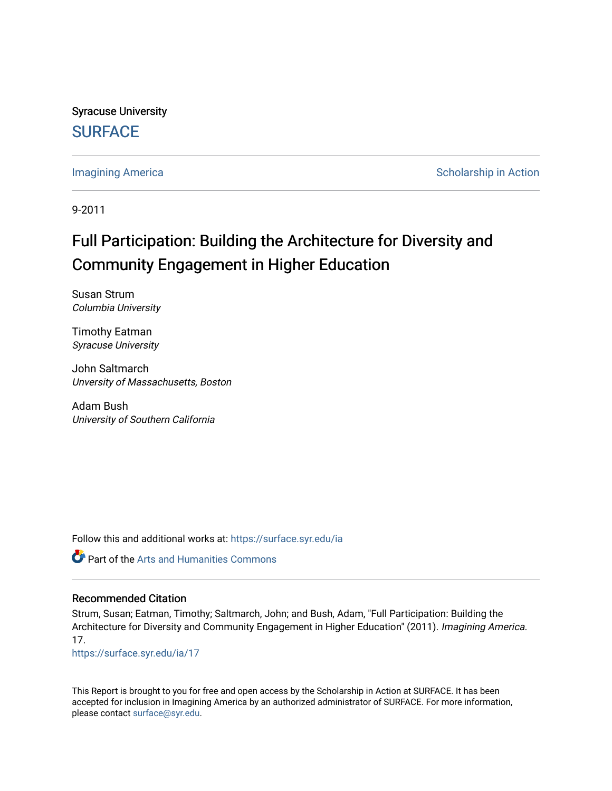Syracuse University **[SURFACE](https://surface.syr.edu/)** 

[Imagining America](https://surface.syr.edu/ia) **Scholarship in Action** 

9-2011

# Full Participation: Building the Architecture for Diversity and Community Engagement in Higher Education

Susan Strum Columbia University

Timothy Eatman Syracuse University

John Saltmarch Unversity of Massachusetts, Boston

Adam Bush University of Southern California

Follow this and additional works at: [https://surface.syr.edu/ia](https://surface.syr.edu/ia?utm_source=surface.syr.edu%2Fia%2F17&utm_medium=PDF&utm_campaign=PDFCoverPages)

Part of the [Arts and Humanities Commons](http://network.bepress.com/hgg/discipline/438?utm_source=surface.syr.edu%2Fia%2F17&utm_medium=PDF&utm_campaign=PDFCoverPages) 

#### Recommended Citation

Strum, Susan; Eatman, Timothy; Saltmarch, John; and Bush, Adam, "Full Participation: Building the Architecture for Diversity and Community Engagement in Higher Education" (2011). Imagining America. 17.

[https://surface.syr.edu/ia/17](https://surface.syr.edu/ia/17?utm_source=surface.syr.edu%2Fia%2F17&utm_medium=PDF&utm_campaign=PDFCoverPages) 

This Report is brought to you for free and open access by the Scholarship in Action at SURFACE. It has been accepted for inclusion in Imagining America by an authorized administrator of SURFACE. For more information, please contact [surface@syr.edu.](mailto:surface@syr.edu)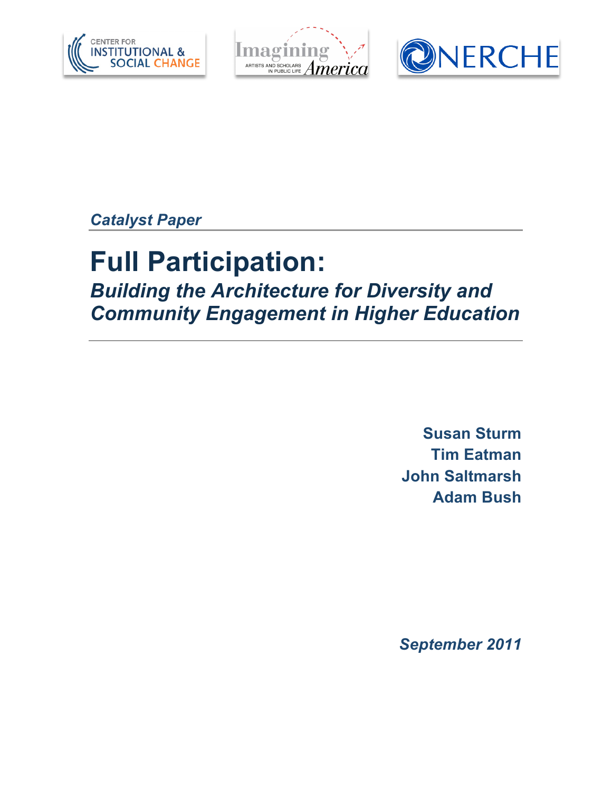





*Catalyst Paper*

# **Full Participation:**

*Building the Architecture for Diversity and Community Engagement in Higher Education*

> **Susan Sturm Tim Eatman John Saltmarsh Adam Bush**

*September 2011*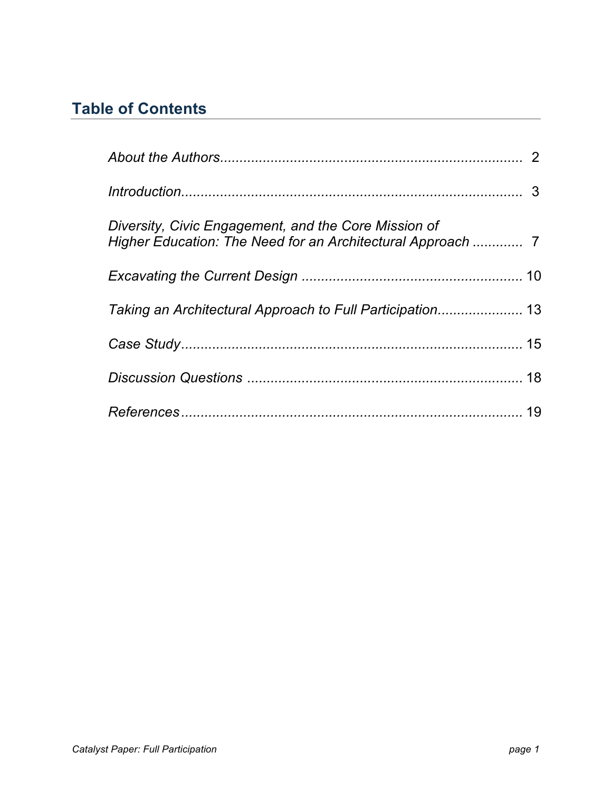# **Table of Contents**

| Diversity, Civic Engagement, and the Core Mission of<br>Higher Education: The Need for an Architectural Approach  7 |  |
|---------------------------------------------------------------------------------------------------------------------|--|
|                                                                                                                     |  |
| Taking an Architectural Approach to Full Participation 13                                                           |  |
|                                                                                                                     |  |
|                                                                                                                     |  |
|                                                                                                                     |  |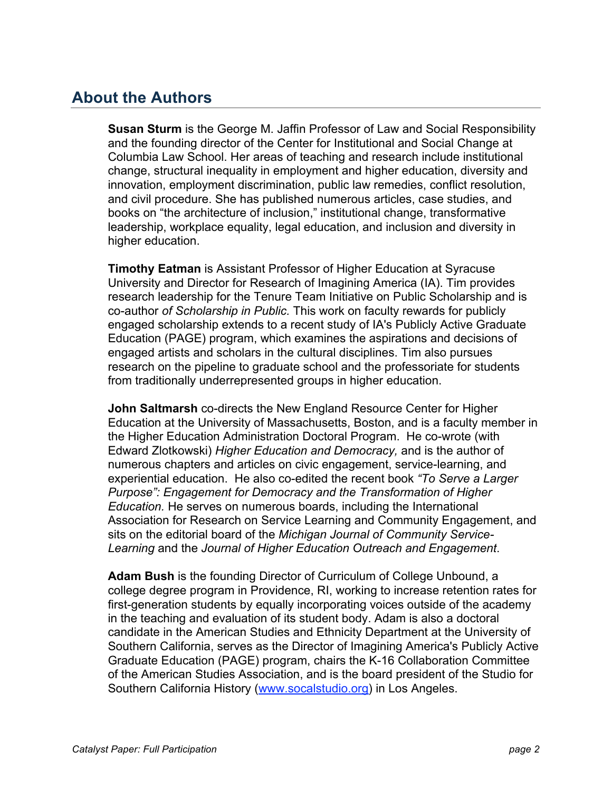### **About the Authors**

**Susan Sturm** is the George M. Jaffin Professor of Law and Social Responsibility and the founding director of the Center for Institutional and Social Change at Columbia Law School. Her areas of teaching and research include institutional change, structural inequality in employment and higher education, diversity and innovation, employment discrimination, public law remedies, conflict resolution, and civil procedure. She has published numerous articles, case studies, and books on "the architecture of inclusion," institutional change, transformative leadership, workplace equality, legal education, and inclusion and diversity in higher education.

**Timothy Eatman** is Assistant Professor of Higher Education at Syracuse University and Director for Research of Imagining America (IA). Tim provides research leadership for the Tenure Team Initiative on Public Scholarship and is co-author *of Scholarship in Public.* This work on faculty rewards for publicly engaged scholarship extends to a recent study of IA's Publicly Active Graduate Education (PAGE) program, which examines the aspirations and decisions of engaged artists and scholars in the cultural disciplines. Tim also pursues research on the pipeline to graduate school and the professoriate for students from traditionally underrepresented groups in higher education.

**John Saltmarsh** co-directs the New England Resource Center for Higher Education at the University of Massachusetts, Boston, and is a faculty member in the Higher Education Administration Doctoral Program. He co-wrote (with Edward Zlotkowski) *Higher Education and Democracy,* and is the author of numerous chapters and articles on civic engagement, service-learning, and experiential education. He also co-edited the recent book *"To Serve a Larger Purpose": Engagement for Democracy and the Transformation of Higher Education.* He serves on numerous boards, including the International Association for Research on Service Learning and Community Engagement, and sits on the editorial board of the *Michigan Journal of Community Service-Learning* and the *Journal of Higher Education Outreach and Engagement*.

**Adam Bush** is the founding Director of Curriculum of College Unbound, a college degree program in Providence, RI, working to increase retention rates for first-generation students by equally incorporating voices outside of the academy in the teaching and evaluation of its student body. Adam is also a doctoral candidate in the American Studies and Ethnicity Department at the University of Southern California, serves as the Director of Imagining America's Publicly Active Graduate Education (PAGE) program, chairs the K-16 Collaboration Committee of the American Studies Association, and is the board president of the Studio for Southern California History (www.socalstudio.org) in Los Angeles.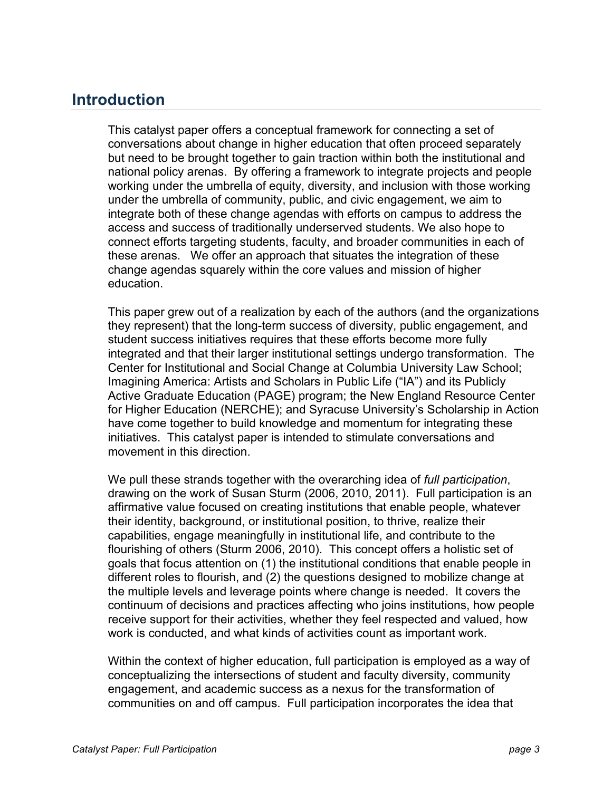### **Introduction**

This catalyst paper offers a conceptual framework for connecting a set of conversations about change in higher education that often proceed separately but need to be brought together to gain traction within both the institutional and national policy arenas. By offering a framework to integrate projects and people working under the umbrella of equity, diversity, and inclusion with those working under the umbrella of community, public, and civic engagement, we aim to integrate both of these change agendas with efforts on campus to address the access and success of traditionally underserved students. We also hope to connect efforts targeting students, faculty, and broader communities in each of these arenas. We offer an approach that situates the integration of these change agendas squarely within the core values and mission of higher education.

This paper grew out of a realization by each of the authors (and the organizations they represent) that the long-term success of diversity, public engagement, and student success initiatives requires that these efforts become more fully integrated and that their larger institutional settings undergo transformation. The Center for Institutional and Social Change at Columbia University Law School; Imagining America: Artists and Scholars in Public Life ("IA") and its Publicly Active Graduate Education (PAGE) program; the New England Resource Center for Higher Education (NERCHE); and Syracuse University's Scholarship in Action have come together to build knowledge and momentum for integrating these initiatives. This catalyst paper is intended to stimulate conversations and movement in this direction.

We pull these strands together with the overarching idea of *full participation*, drawing on the work of Susan Sturm (2006, 2010, 2011). Full participation is an affirmative value focused on creating institutions that enable people, whatever their identity, background, or institutional position, to thrive, realize their capabilities, engage meaningfully in institutional life, and contribute to the flourishing of others (Sturm 2006, 2010). This concept offers a holistic set of goals that focus attention on (1) the institutional conditions that enable people in different roles to flourish, and (2) the questions designed to mobilize change at the multiple levels and leverage points where change is needed. It covers the continuum of decisions and practices affecting who joins institutions, how people receive support for their activities, whether they feel respected and valued, how work is conducted, and what kinds of activities count as important work.

Within the context of higher education, full participation is employed as a way of conceptualizing the intersections of student and faculty diversity, community engagement, and academic success as a nexus for the transformation of communities on and off campus. Full participation incorporates the idea that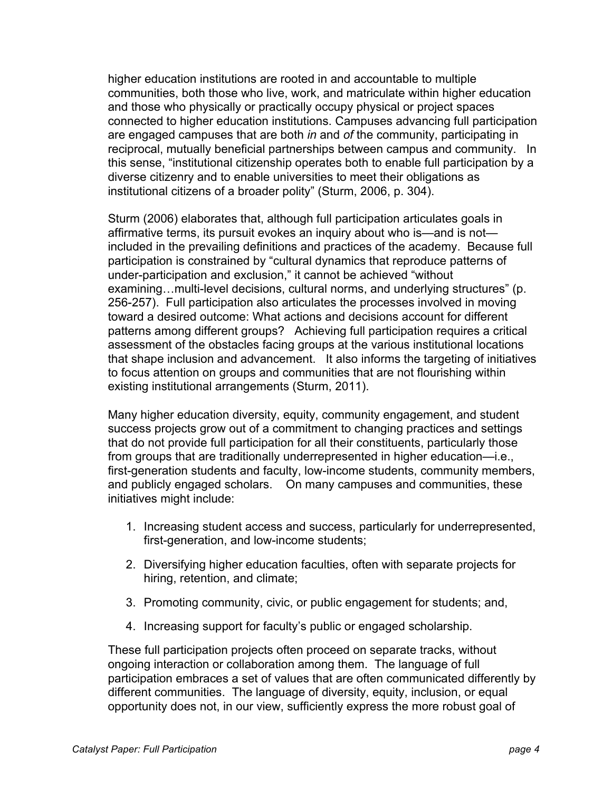higher education institutions are rooted in and accountable to multiple communities, both those who live, work, and matriculate within higher education and those who physically or practically occupy physical or project spaces connected to higher education institutions. Campuses advancing full participation are engaged campuses that are both *in* and *of* the community, participating in reciprocal, mutually beneficial partnerships between campus and community. In this sense, "institutional citizenship operates both to enable full participation by a diverse citizenry and to enable universities to meet their obligations as institutional citizens of a broader polity" (Sturm, 2006, p. 304).

Sturm (2006) elaborates that, although full participation articulates goals in affirmative terms, its pursuit evokes an inquiry about who is—and is not included in the prevailing definitions and practices of the academy. Because full participation is constrained by "cultural dynamics that reproduce patterns of under-participation and exclusion," it cannot be achieved "without examining…multi-level decisions, cultural norms, and underlying structures" (p. 256-257). Full participation also articulates the processes involved in moving toward a desired outcome: What actions and decisions account for different patterns among different groups? Achieving full participation requires a critical assessment of the obstacles facing groups at the various institutional locations that shape inclusion and advancement. It also informs the targeting of initiatives to focus attention on groups and communities that are not flourishing within existing institutional arrangements (Sturm, 2011).

Many higher education diversity, equity, community engagement, and student success projects grow out of a commitment to changing practices and settings that do not provide full participation for all their constituents, particularly those from groups that are traditionally underrepresented in higher education—i.e., first-generation students and faculty, low-income students, community members, and publicly engaged scholars. On many campuses and communities, these initiatives might include:

- 1. Increasing student access and success, particularly for underrepresented, first-generation, and low-income students;
- 2. Diversifying higher education faculties, often with separate projects for hiring, retention, and climate;
- 3. Promoting community, civic, or public engagement for students; and,
- 4. Increasing support for faculty's public or engaged scholarship.

These full participation projects often proceed on separate tracks, without ongoing interaction or collaboration among them. The language of full participation embraces a set of values that are often communicated differently by different communities. The language of diversity, equity, inclusion, or equal opportunity does not, in our view, sufficiently express the more robust goal of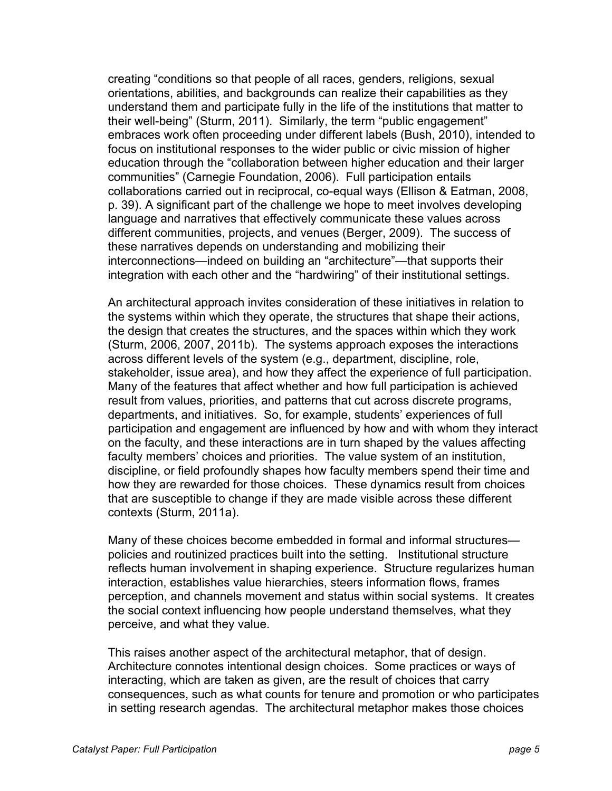creating "conditions so that people of all races, genders, religions, sexual orientations, abilities, and backgrounds can realize their capabilities as they understand them and participate fully in the life of the institutions that matter to their well-being" (Sturm, 2011). Similarly, the term "public engagement" embraces work often proceeding under different labels (Bush, 2010), intended to focus on institutional responses to the wider public or civic mission of higher education through the "collaboration between higher education and their larger communities" (Carnegie Foundation, 2006). Full participation entails collaborations carried out in reciprocal, co-equal ways (Ellison & Eatman, 2008, p. 39). A significant part of the challenge we hope to meet involves developing language and narratives that effectively communicate these values across different communities, projects, and venues (Berger, 2009). The success of these narratives depends on understanding and mobilizing their interconnections—indeed on building an "architecture"—that supports their integration with each other and the "hardwiring" of their institutional settings.

An architectural approach invites consideration of these initiatives in relation to the systems within which they operate, the structures that shape their actions, the design that creates the structures, and the spaces within which they work (Sturm, 2006, 2007, 2011b). The systems approach exposes the interactions across different levels of the system (e.g., department, discipline, role, stakeholder, issue area), and how they affect the experience of full participation. Many of the features that affect whether and how full participation is achieved result from values, priorities, and patterns that cut across discrete programs, departments, and initiatives. So, for example, students' experiences of full participation and engagement are influenced by how and with whom they interact on the faculty, and these interactions are in turn shaped by the values affecting faculty members' choices and priorities. The value system of an institution, discipline, or field profoundly shapes how faculty members spend their time and how they are rewarded for those choices. These dynamics result from choices that are susceptible to change if they are made visible across these different contexts (Sturm, 2011a).

Many of these choices become embedded in formal and informal structures policies and routinized practices built into the setting. Institutional structure reflects human involvement in shaping experience. Structure regularizes human interaction, establishes value hierarchies, steers information flows, frames perception, and channels movement and status within social systems. It creates the social context influencing how people understand themselves, what they perceive, and what they value.

This raises another aspect of the architectural metaphor, that of design. Architecture connotes intentional design choices. Some practices or ways of interacting, which are taken as given, are the result of choices that carry consequences, such as what counts for tenure and promotion or who participates in setting research agendas. The architectural metaphor makes those choices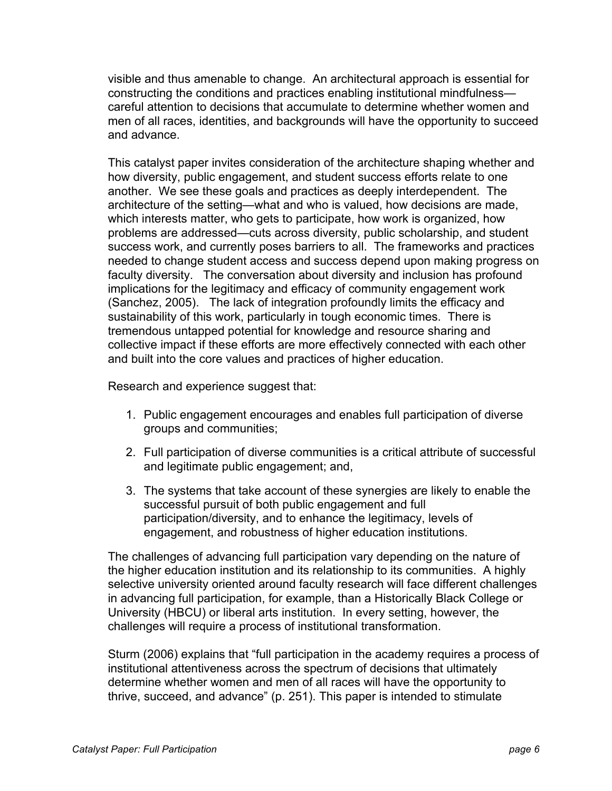visible and thus amenable to change. An architectural approach is essential for constructing the conditions and practices enabling institutional mindfulness careful attention to decisions that accumulate to determine whether women and men of all races, identities, and backgrounds will have the opportunity to succeed and advance.

This catalyst paper invites consideration of the architecture shaping whether and how diversity, public engagement, and student success efforts relate to one another. We see these goals and practices as deeply interdependent. The architecture of the setting—what and who is valued, how decisions are made, which interests matter, who gets to participate, how work is organized, how problems are addressed—cuts across diversity, public scholarship, and student success work, and currently poses barriers to all. The frameworks and practices needed to change student access and success depend upon making progress on faculty diversity. The conversation about diversity and inclusion has profound implications for the legitimacy and efficacy of community engagement work (Sanchez, 2005). The lack of integration profoundly limits the efficacy and sustainability of this work, particularly in tough economic times. There is tremendous untapped potential for knowledge and resource sharing and collective impact if these efforts are more effectively connected with each other and built into the core values and practices of higher education.

Research and experience suggest that:

- 1. Public engagement encourages and enables full participation of diverse groups and communities;
- 2. Full participation of diverse communities is a critical attribute of successful and legitimate public engagement; and,
- 3. The systems that take account of these synergies are likely to enable the successful pursuit of both public engagement and full participation/diversity, and to enhance the legitimacy, levels of engagement, and robustness of higher education institutions.

The challenges of advancing full participation vary depending on the nature of the higher education institution and its relationship to its communities. A highly selective university oriented around faculty research will face different challenges in advancing full participation, for example, than a Historically Black College or University (HBCU) or liberal arts institution. In every setting, however, the challenges will require a process of institutional transformation.

Sturm (2006) explains that "full participation in the academy requires a process of institutional attentiveness across the spectrum of decisions that ultimately determine whether women and men of all races will have the opportunity to thrive, succeed, and advance" (p. 251). This paper is intended to stimulate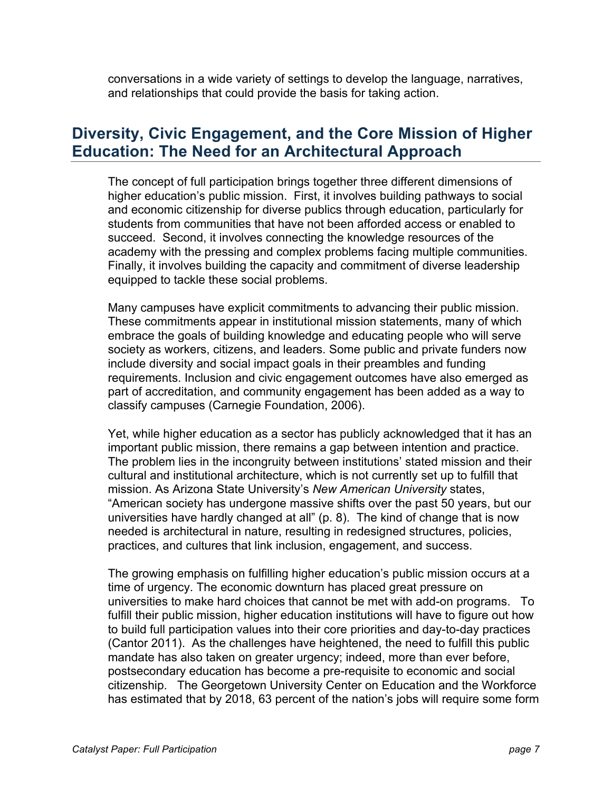conversations in a wide variety of settings to develop the language, narratives, and relationships that could provide the basis for taking action.

### **Diversity, Civic Engagement, and the Core Mission of Higher Education: The Need for an Architectural Approach**

The concept of full participation brings together three different dimensions of higher education's public mission. First, it involves building pathways to social and economic citizenship for diverse publics through education, particularly for students from communities that have not been afforded access or enabled to succeed. Second, it involves connecting the knowledge resources of the academy with the pressing and complex problems facing multiple communities. Finally, it involves building the capacity and commitment of diverse leadership equipped to tackle these social problems.

Many campuses have explicit commitments to advancing their public mission. These commitments appear in institutional mission statements, many of which embrace the goals of building knowledge and educating people who will serve society as workers, citizens, and leaders. Some public and private funders now include diversity and social impact goals in their preambles and funding requirements. Inclusion and civic engagement outcomes have also emerged as part of accreditation, and community engagement has been added as a way to classify campuses (Carnegie Foundation, 2006).

Yet, while higher education as a sector has publicly acknowledged that it has an important public mission, there remains a gap between intention and practice. The problem lies in the incongruity between institutions' stated mission and their cultural and institutional architecture, which is not currently set up to fulfill that mission. As Arizona State University's *New American University* states, "American society has undergone massive shifts over the past 50 years, but our universities have hardly changed at all" (p. 8). The kind of change that is now needed is architectural in nature, resulting in redesigned structures, policies, practices, and cultures that link inclusion, engagement, and success.

The growing emphasis on fulfilling higher education's public mission occurs at a time of urgency. The economic downturn has placed great pressure on universities to make hard choices that cannot be met with add-on programs. To fulfill their public mission, higher education institutions will have to figure out how to build full participation values into their core priorities and day-to-day practices (Cantor 2011). As the challenges have heightened, the need to fulfill this public mandate has also taken on greater urgency; indeed, more than ever before, postsecondary education has become a pre-requisite to economic and social citizenship. The Georgetown University Center on Education and the Workforce has estimated that by 2018, 63 percent of the nation's jobs will require some form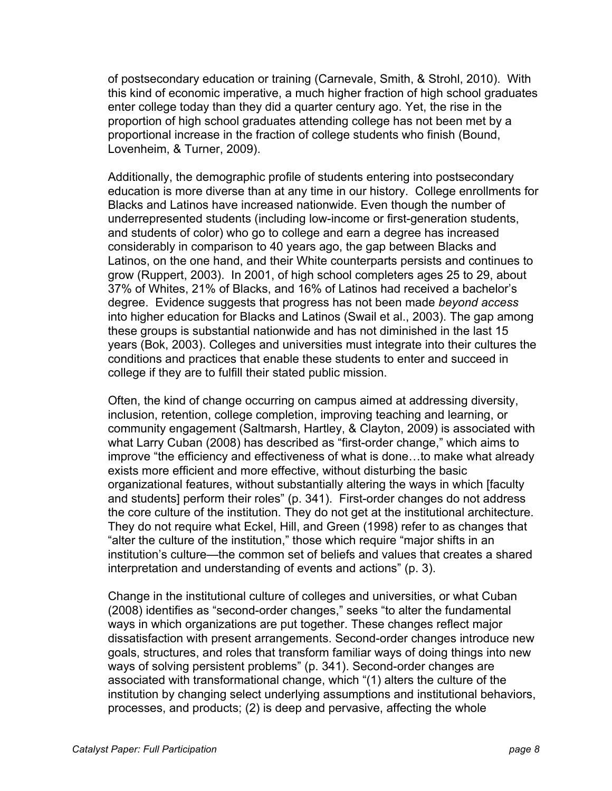of postsecondary education or training (Carnevale, Smith, & Strohl, 2010). With this kind of economic imperative, a much higher fraction of high school graduates enter college today than they did a quarter century ago. Yet, the rise in the proportion of high school graduates attending college has not been met by a proportional increase in the fraction of college students who finish (Bound, Lovenheim, & Turner, 2009).

Additionally, the demographic profile of students entering into postsecondary education is more diverse than at any time in our history. College enrollments for Blacks and Latinos have increased nationwide. Even though the number of underrepresented students (including low-income or first-generation students, and students of color) who go to college and earn a degree has increased considerably in comparison to 40 years ago, the gap between Blacks and Latinos, on the one hand, and their White counterparts persists and continues to grow (Ruppert, 2003). In 2001, of high school completers ages 25 to 29, about 37% of Whites, 21% of Blacks, and 16% of Latinos had received a bachelor's degree. Evidence suggests that progress has not been made *beyond access*  into higher education for Blacks and Latinos (Swail et al., 2003). The gap among these groups is substantial nationwide and has not diminished in the last 15 years (Bok, 2003). Colleges and universities must integrate into their cultures the conditions and practices that enable these students to enter and succeed in college if they are to fulfill their stated public mission.

Often, the kind of change occurring on campus aimed at addressing diversity, inclusion, retention, college completion, improving teaching and learning, or community engagement (Saltmarsh, Hartley, & Clayton, 2009) is associated with what Larry Cuban (2008) has described as "first-order change," which aims to improve "the efficiency and effectiveness of what is done…to make what already exists more efficient and more effective, without disturbing the basic organizational features, without substantially altering the ways in which [faculty and students] perform their roles" (p. 341). First-order changes do not address the core culture of the institution. They do not get at the institutional architecture. They do not require what Eckel, Hill, and Green (1998) refer to as changes that "alter the culture of the institution," those which require "major shifts in an institution's culture—the common set of beliefs and values that creates a shared interpretation and understanding of events and actions" (p. 3).

Change in the institutional culture of colleges and universities, or what Cuban (2008) identifies as "second-order changes," seeks "to alter the fundamental ways in which organizations are put together. These changes reflect major dissatisfaction with present arrangements. Second-order changes introduce new goals, structures, and roles that transform familiar ways of doing things into new ways of solving persistent problems" (p. 341). Second-order changes are associated with transformational change, which "(1) alters the culture of the institution by changing select underlying assumptions and institutional behaviors, processes, and products; (2) is deep and pervasive, affecting the whole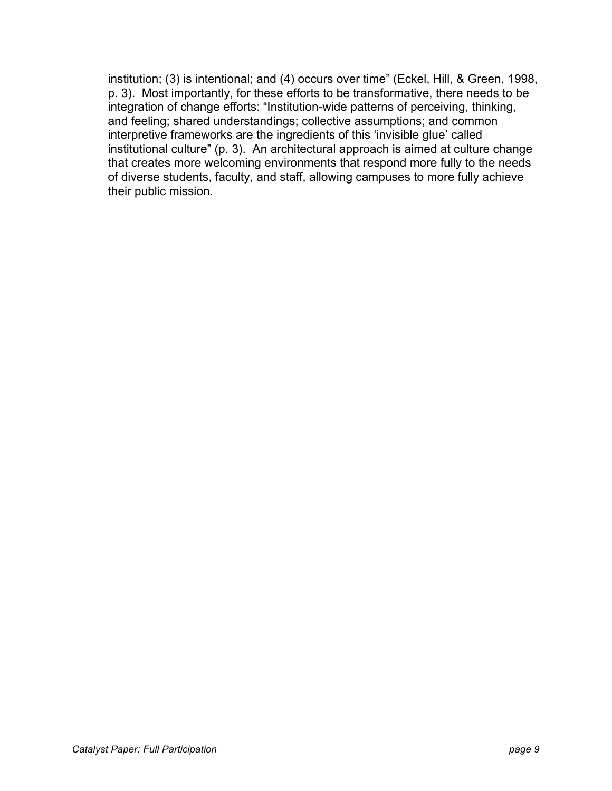institution; (3) is intentional; and (4) occurs over time" (Eckel, Hill, & Green, 1998, p. 3). Most importantly, for these efforts to be transformative, there needs to be integration of change efforts: "Institution-wide patterns of perceiving, thinking, and feeling; shared understandings; collective assumptions; and common interpretive frameworks are the ingredients of this 'invisible glue' called institutional culture" (p. 3). An architectural approach is aimed at culture change that creates more welcoming environments that respond more fully to the needs of diverse students, faculty, and staff, allowing campuses to more fully achieve their public mission.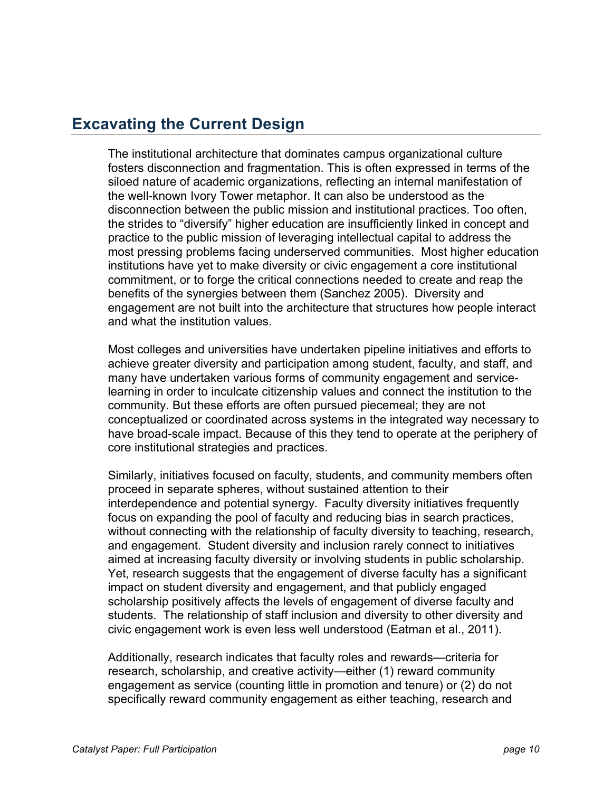### **Excavating the Current Design**

The institutional architecture that dominates campus organizational culture fosters disconnection and fragmentation. This is often expressed in terms of the siloed nature of academic organizations, reflecting an internal manifestation of the well-known Ivory Tower metaphor. It can also be understood as the disconnection between the public mission and institutional practices. Too often, the strides to "diversify" higher education are insufficiently linked in concept and practice to the public mission of leveraging intellectual capital to address the most pressing problems facing underserved communities. Most higher education institutions have yet to make diversity or civic engagement a core institutional commitment, or to forge the critical connections needed to create and reap the benefits of the synergies between them (Sanchez 2005). Diversity and engagement are not built into the architecture that structures how people interact and what the institution values.

Most colleges and universities have undertaken pipeline initiatives and efforts to achieve greater diversity and participation among student, faculty, and staff, and many have undertaken various forms of community engagement and servicelearning in order to inculcate citizenship values and connect the institution to the community. But these efforts are often pursued piecemeal; they are not conceptualized or coordinated across systems in the integrated way necessary to have broad-scale impact. Because of this they tend to operate at the periphery of core institutional strategies and practices.

Similarly, initiatives focused on faculty, students, and community members often proceed in separate spheres, without sustained attention to their interdependence and potential synergy. Faculty diversity initiatives frequently focus on expanding the pool of faculty and reducing bias in search practices, without connecting with the relationship of faculty diversity to teaching, research, and engagement. Student diversity and inclusion rarely connect to initiatives aimed at increasing faculty diversity or involving students in public scholarship. Yet, research suggests that the engagement of diverse faculty has a significant impact on student diversity and engagement, and that publicly engaged scholarship positively affects the levels of engagement of diverse faculty and students. The relationship of staff inclusion and diversity to other diversity and civic engagement work is even less well understood (Eatman et al., 2011).

Additionally, research indicates that faculty roles and rewards—criteria for research, scholarship, and creative activity—either (1) reward community engagement as service (counting little in promotion and tenure) or (2) do not specifically reward community engagement as either teaching, research and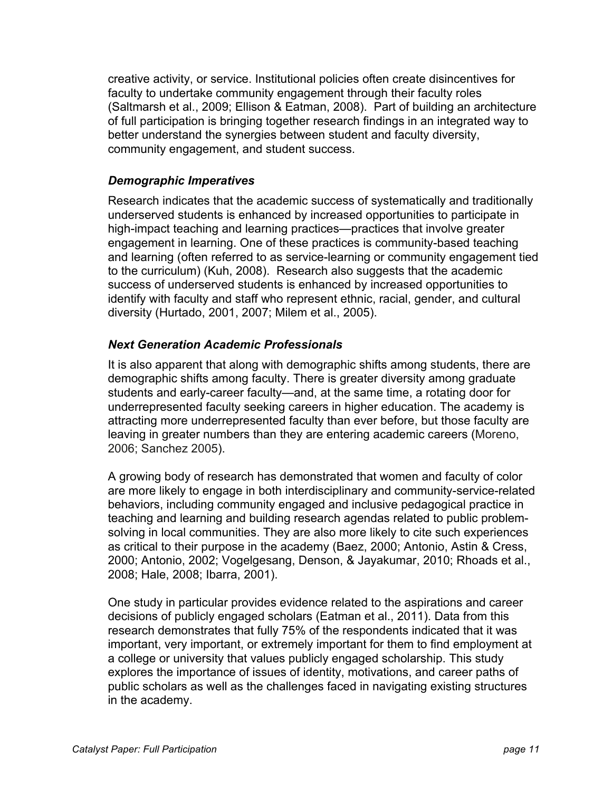creative activity, or service. Institutional policies often create disincentives for faculty to undertake community engagement through their faculty roles (Saltmarsh et al., 2009; Ellison & Eatman, 2008). Part of building an architecture of full participation is bringing together research findings in an integrated way to better understand the synergies between student and faculty diversity, community engagement, and student success.

#### *Demographic Imperatives*

Research indicates that the academic success of systematically and traditionally underserved students is enhanced by increased opportunities to participate in high-impact teaching and learning practices—practices that involve greater engagement in learning. One of these practices is community-based teaching and learning (often referred to as service-learning or community engagement tied to the curriculum) (Kuh, 2008). Research also suggests that the academic success of underserved students is enhanced by increased opportunities to identify with faculty and staff who represent ethnic, racial, gender, and cultural diversity (Hurtado, 2001, 2007; Milem et al., 2005).

#### *Next Generation Academic Professionals*

It is also apparent that along with demographic shifts among students, there are demographic shifts among faculty. There is greater diversity among graduate students and early-career faculty—and, at the same time, a rotating door for underrepresented faculty seeking careers in higher education. The academy is attracting more underrepresented faculty than ever before, but those faculty are leaving in greater numbers than they are entering academic careers (Moreno, 2006; Sanchez 2005).

A growing body of research has demonstrated that women and faculty of color are more likely to engage in both interdisciplinary and community-service-related behaviors, including community engaged and inclusive pedagogical practice in teaching and learning and building research agendas related to public problemsolving in local communities. They are also more likely to cite such experiences as critical to their purpose in the academy (Baez, 2000; Antonio, Astin & Cress, 2000; Antonio, 2002; Vogelgesang, Denson, & Jayakumar, 2010; Rhoads et al., 2008; Hale, 2008; Ibarra, 2001).

One study in particular provides evidence related to the aspirations and career decisions of publicly engaged scholars (Eatman et al., 2011). Data from this research demonstrates that fully 75% of the respondents indicated that it was important, very important, or extremely important for them to find employment at a college or university that values publicly engaged scholarship. This study explores the importance of issues of identity, motivations, and career paths of public scholars as well as the challenges faced in navigating existing structures in the academy.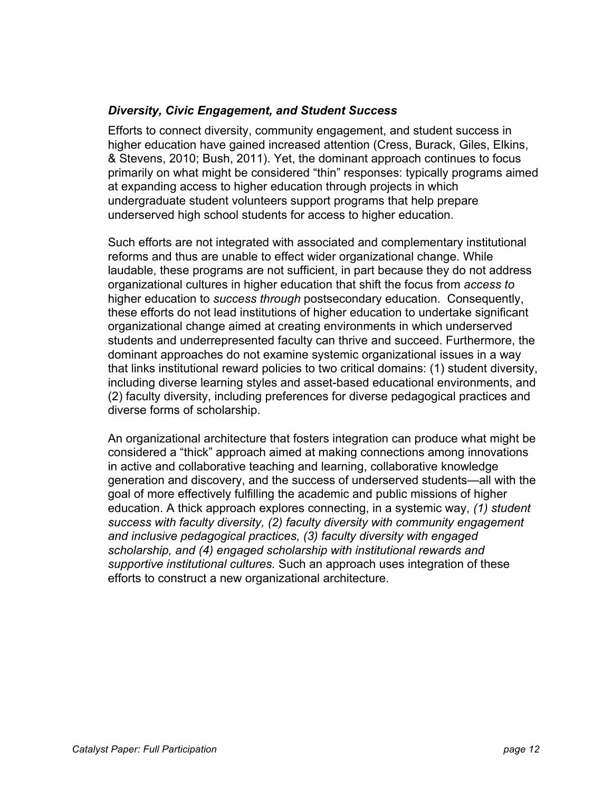#### *Diversity, Civic Engagement, and Student Success*

Efforts to connect diversity, community engagement, and student success in higher education have gained increased attention (Cress, Burack, Giles, Elkins, & Stevens, 2010; Bush, 2011). Yet, the dominant approach continues to focus primarily on what might be considered "thin" responses: typically programs aimed at expanding access to higher education through projects in which undergraduate student volunteers support programs that help prepare underserved high school students for access to higher education.

Such efforts are not integrated with associated and complementary institutional reforms and thus are unable to effect wider organizational change. While laudable, these programs are not sufficient, in part because they do not address organizational cultures in higher education that shift the focus from *access to* higher education to *success through* postsecondary education. Consequently, these efforts do not lead institutions of higher education to undertake significant organizational change aimed at creating environments in which underserved students and underrepresented faculty can thrive and succeed. Furthermore, the dominant approaches do not examine systemic organizational issues in a way that links institutional reward policies to two critical domains: (1) student diversity, including diverse learning styles and asset-based educational environments, and (2) faculty diversity, including preferences for diverse pedagogical practices and diverse forms of scholarship.

An organizational architecture that fosters integration can produce what might be considered a "thick" approach aimed at making connections among innovations in active and collaborative teaching and learning, collaborative knowledge generation and discovery, and the success of underserved students—all with the goal of more effectively fulfilling the academic and public missions of higher education. A thick approach explores connecting, in a systemic way, *(1) student success with faculty diversity, (2) faculty diversity with community engagement and inclusive pedagogical practices, (3) faculty diversity with engaged scholarship, and (4) engaged scholarship with institutional rewards and supportive institutional cultures.* Such an approach uses integration of these efforts to construct a new organizational architecture.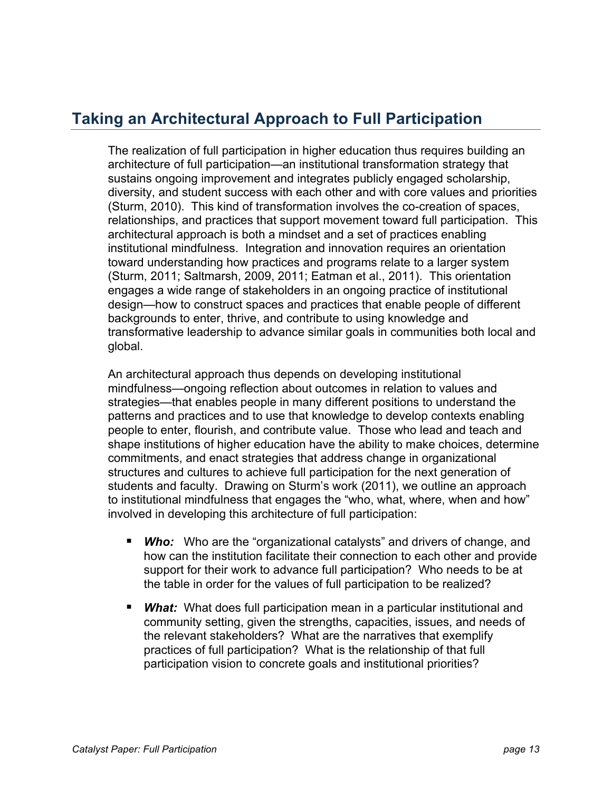## **Taking an Architectural Approach to Full Participation**

The realization of full participation in higher education thus requires building an architecture of full participation—an institutional transformation strategy that sustains ongoing improvement and integrates publicly engaged scholarship, diversity, and student success with each other and with core values and priorities (Sturm, 2010). This kind of transformation involves the co-creation of spaces, relationships, and practices that support movement toward full participation. This architectural approach is both a mindset and a set of practices enabling institutional mindfulness. Integration and innovation requires an orientation toward understanding how practices and programs relate to a larger system (Sturm, 2011; Saltmarsh, 2009, 2011; Eatman et al., 2011). This orientation engages a wide range of stakeholders in an ongoing practice of institutional design—how to construct spaces and practices that enable people of different backgrounds to enter, thrive, and contribute to using knowledge and transformative leadership to advance similar goals in communities both local and global.

An architectural approach thus depends on developing institutional mindfulness—ongoing reflection about outcomes in relation to values and strategies—that enables people in many different positions to understand the patterns and practices and to use that knowledge to develop contexts enabling people to enter, flourish, and contribute value. Those who lead and teach and shape institutions of higher education have the ability to make choices, determine commitments, and enact strategies that address change in organizational structures and cultures to achieve full participation for the next generation of students and faculty. Drawing on Sturm's work (2011), we outline an approach to institutional mindfulness that engages the "who, what, where, when and how" involved in developing this architecture of full participation:

- **Who:** Who are the "organizational catalysts" and drivers of change, and how can the institution facilitate their connection to each other and provide support for their work to advance full participation? Who needs to be at the table in order for the values of full participation to be realized?
- *What:* What does full participation mean in a particular institutional and community setting, given the strengths, capacities, issues, and needs of the relevant stakeholders? What are the narratives that exemplify practices of full participation? What is the relationship of that full participation vision to concrete goals and institutional priorities?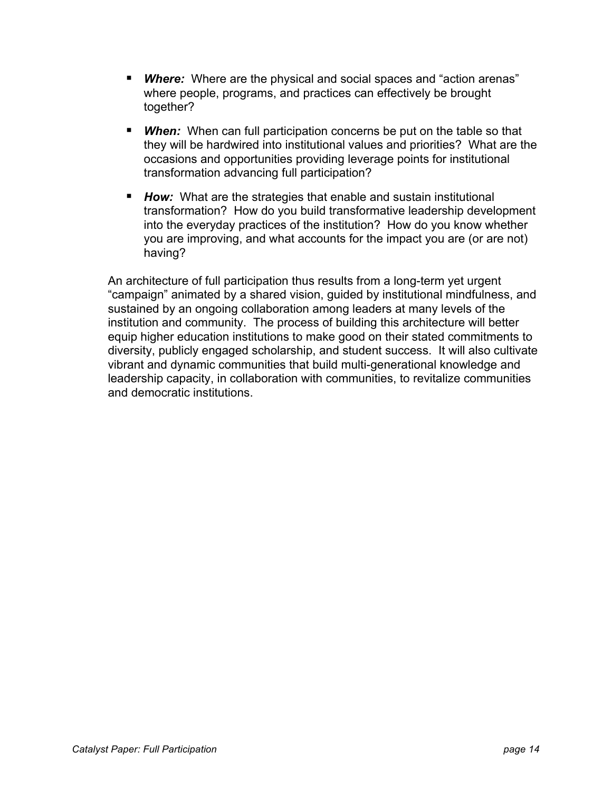- **Where:** Where are the physical and social spaces and "action arenas" where people, programs, and practices can effectively be brought together?
- **When:** When can full participation concerns be put on the table so that they will be hardwired into institutional values and priorities? What are the occasions and opportunities providing leverage points for institutional transformation advancing full participation?
- **How:** What are the strategies that enable and sustain institutional transformation? How do you build transformative leadership development into the everyday practices of the institution? How do you know whether you are improving, and what accounts for the impact you are (or are not) having?

An architecture of full participation thus results from a long-term yet urgent "campaign" animated by a shared vision, guided by institutional mindfulness, and sustained by an ongoing collaboration among leaders at many levels of the institution and community. The process of building this architecture will better equip higher education institutions to make good on their stated commitments to diversity, publicly engaged scholarship, and student success. It will also cultivate vibrant and dynamic communities that build multi-generational knowledge and leadership capacity, in collaboration with communities, to revitalize communities and democratic institutions.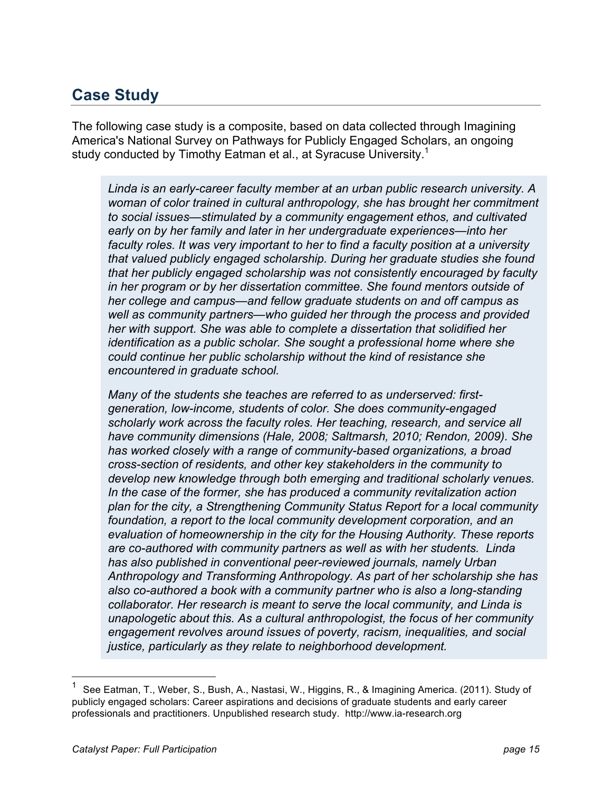# **Case Study**

The following case study is a composite, based on data collected through Imagining America's National Survey on Pathways for Publicly Engaged Scholars, an ongoing study conducted by Timothy Eatman et al., at Syracuse University.<sup>1</sup>

*Linda is an early-career faculty member at an urban public research university. A woman of color trained in cultural anthropology, she has brought her commitment to social issues—stimulated by a community engagement ethos, and cultivated early on by her family and later in her undergraduate experiences—into her faculty roles. It was very important to her to find a faculty position at a university that valued publicly engaged scholarship. During her graduate studies she found that her publicly engaged scholarship was not consistently encouraged by faculty in her program or by her dissertation committee. She found mentors outside of her college and campus—and fellow graduate students on and off campus as well as community partners—who guided her through the process and provided her with support. She was able to complete a dissertation that solidified her identification as a public scholar. She sought a professional home where she could continue her public scholarship without the kind of resistance she encountered in graduate school.*

*Many of the students she teaches are referred to as underserved: firstgeneration, low-income, students of color. She does community-engaged scholarly work across the faculty roles. Her teaching, research, and service all have community dimensions (Hale, 2008; Saltmarsh, 2010; Rendon, 2009). She has worked closely with a range of community-based organizations, a broad cross-section of residents, and other key stakeholders in the community to develop new knowledge through both emerging and traditional scholarly venues. In the case of the former, she has produced a community revitalization action plan for the city, a Strengthening Community Status Report for a local community*  foundation, a report to the local community development corporation, and an *evaluation of homeownership in the city for the Housing Authority. These reports are co-authored with community partners as well as with her students. Linda has also published in conventional peer-reviewed journals, namely Urban Anthropology and Transforming Anthropology. As part of her scholarship she has also co-authored a book with a community partner who is also a long-standing collaborator. Her research is meant to serve the local community, and Linda is unapologetic about this. As a cultural anthropologist, the focus of her community engagement revolves around issues of poverty, racism, inequalities, and social justice, particularly as they relate to neighborhood development.*

See Eatman, T., Weber, S., Bush, A., Nastasi, W., Higgins, R., & Imagining America. (2011). Study of publicly engaged scholars: Career aspirations and decisions of graduate students and early career professionals and practitioners. Unpublished research study. http://www.ia-research.org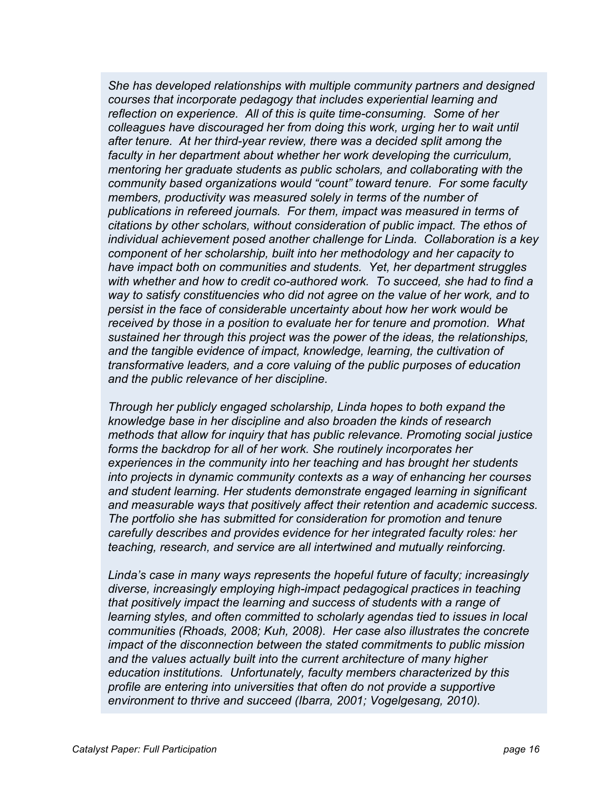*She has developed relationships with multiple community partners and designed courses that incorporate pedagogy that includes experiential learning and reflection on experience. All of this is quite time-consuming. Some of her colleagues have discouraged her from doing this work, urging her to wait until after tenure. At her third-year review, there was a decided split among the faculty in her department about whether her work developing the curriculum, mentoring her graduate students as public scholars, and collaborating with the community based organizations would "count" toward tenure. For some faculty members, productivity was measured solely in terms of the number of publications in refereed journals. For them, impact was measured in terms of citations by other scholars, without consideration of public impact. The ethos of individual achievement posed another challenge for Linda. Collaboration is a key component of her scholarship, built into her methodology and her capacity to have impact both on communities and students. Yet, her department struggles with whether and how to credit co-authored work. To succeed, she had to find a way to satisfy constituencies who did not agree on the value of her work, and to persist in the face of considerable uncertainty about how her work would be received by those in a position to evaluate her for tenure and promotion. What sustained her through this project was the power of the ideas, the relationships, and the tangible evidence of impact, knowledge, learning, the cultivation of transformative leaders, and a core valuing of the public purposes of education and the public relevance of her discipline.*

*Through her publicly engaged scholarship, Linda hopes to both expand the knowledge base in her discipline and also broaden the kinds of research methods that allow for inquiry that has public relevance. Promoting social justice forms the backdrop for all of her work. She routinely incorporates her experiences in the community into her teaching and has brought her students into projects in dynamic community contexts as a way of enhancing her courses and student learning. Her students demonstrate engaged learning in significant and measurable ways that positively affect their retention and academic success. The portfolio she has submitted for consideration for promotion and tenure carefully describes and provides evidence for her integrated faculty roles: her teaching, research, and service are all intertwined and mutually reinforcing.*

*Linda's case in many ways represents the hopeful future of faculty; increasingly diverse, increasingly employing high-impact pedagogical practices in teaching that positively impact the learning and success of students with a range of learning styles, and often committed to scholarly agendas tied to issues in local communities (Rhoads, 2008; Kuh, 2008). Her case also illustrates the concrete impact of the disconnection between the stated commitments to public mission and the values actually built into the current architecture of many higher education institutions. Unfortunately, faculty members characterized by this profile are entering into universities that often do not provide a supportive environment to thrive and succeed (Ibarra, 2001; Vogelgesang, 2010).*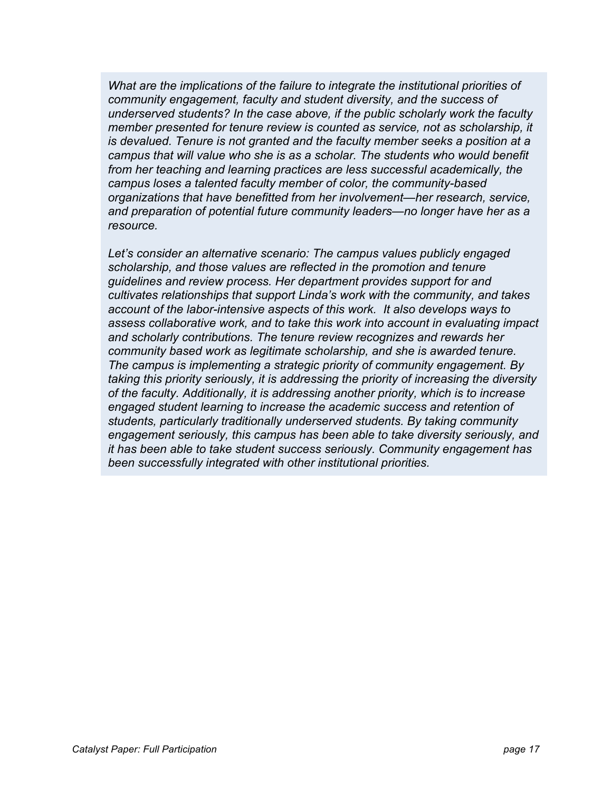*What are the implications of the failure to integrate the institutional priorities of community engagement, faculty and student diversity, and the success of underserved students? In the case above, if the public scholarly work the faculty member presented for tenure review is counted as service, not as scholarship, it is devalued. Tenure is not granted and the faculty member seeks a position at a campus that will value who she is as a scholar. The students who would benefit from her teaching and learning practices are less successful academically, the campus loses a talented faculty member of color, the community-based organizations that have benefitted from her involvement—her research, service, and preparation of potential future community leaders—no longer have her as a resource.*

*Let's consider an alternative scenario: The campus values publicly engaged scholarship, and those values are reflected in the promotion and tenure guidelines and review process. Her department provides support for and cultivates relationships that support Linda's work with the community, and takes account of the labor-intensive aspects of this work. It also develops ways to assess collaborative work, and to take this work into account in evaluating impact and scholarly contributions. The tenure review recognizes and rewards her community based work as legitimate scholarship, and she is awarded tenure. The campus is implementing a strategic priority of community engagement. By taking this priority seriously, it is addressing the priority of increasing the diversity of the faculty. Additionally, it is addressing another priority, which is to increase engaged student learning to increase the academic success and retention of students, particularly traditionally underserved students. By taking community engagement seriously, this campus has been able to take diversity seriously, and it has been able to take student success seriously. Community engagement has been successfully integrated with other institutional priorities.*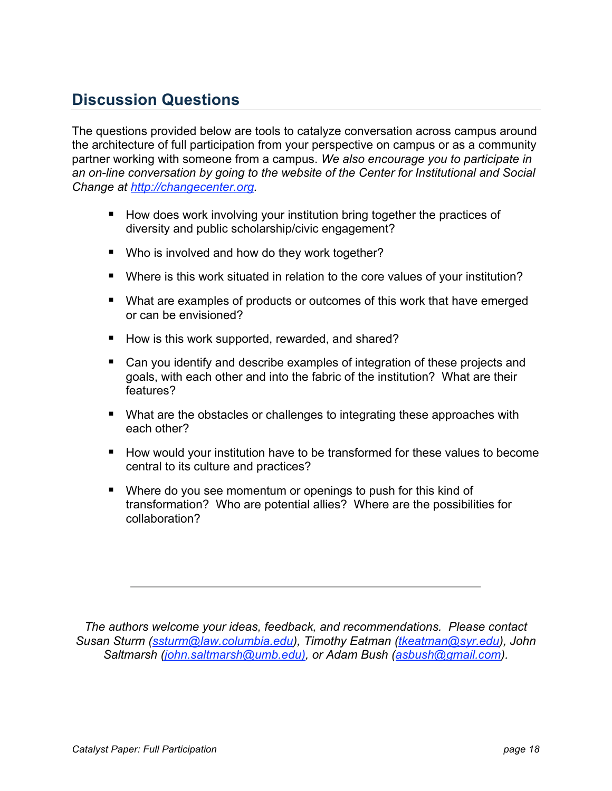# **Discussion Questions**

The questions provided below are tools to catalyze conversation across campus around the architecture of full participation from your perspective on campus or as a community partner working with someone from a campus. *We also encourage you to participate in an on-line conversation by going to the website of the Center for Institutional and Social Change at http://changecenter.org.*

- How does work involving your institution bring together the practices of diversity and public scholarship/civic engagement?
- Who is involved and how do they work together?
- Where is this work situated in relation to the core values of your institution?
- What are examples of products or outcomes of this work that have emerged or can be envisioned?
- How is this work supported, rewarded, and shared?
- Can you identify and describe examples of integration of these projects and goals, with each other and into the fabric of the institution? What are their features?
- What are the obstacles or challenges to integrating these approaches with each other?
- How would your institution have to be transformed for these values to become central to its culture and practices?
- Where do you see momentum or openings to push for this kind of transformation? Who are potential allies? Where are the possibilities for collaboration?

*The authors welcome your ideas, feedback, and recommendations. Please contact Susan Sturm (ssturm@law.columbia.edu), Timothy Eatman (tkeatman@syr.edu), John Saltmarsh (john.saltmarsh@umb.edu), or Adam Bush (asbush@gmail.com).*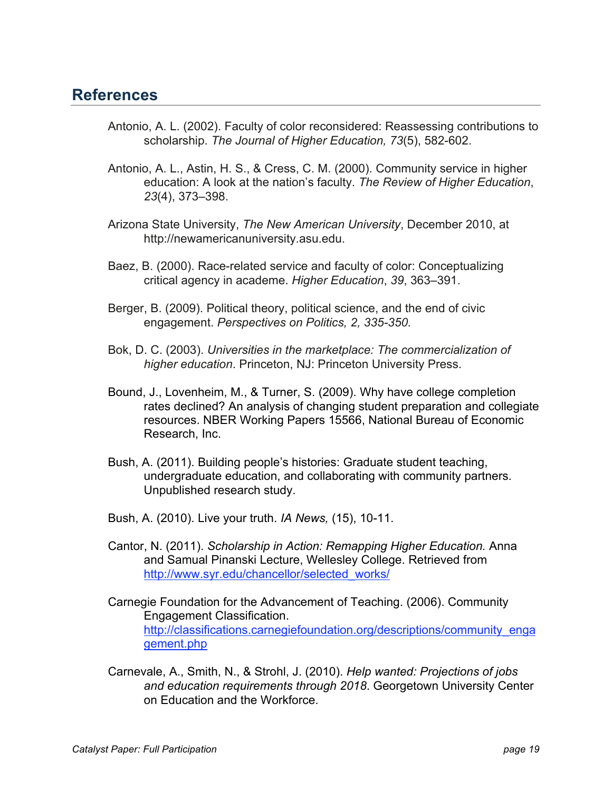### **References**

- Antonio, A. L. (2002). Faculty of color reconsidered: Reassessing contributions to scholarship. *The Journal of Higher Education, 73*(5), 582-602.
- Antonio, A. L., Astin, H. S., & Cress, C. M. (2000). Community service in higher education: A look at the nation's faculty. *The Review of Higher Education*, *23*(4), 373–398.
- Arizona State University, *The New American University*, December 2010, at http://newamericanuniversity.asu.edu.
- Baez, B. (2000). Race-related service and faculty of color: Conceptualizing critical agency in academe. *Higher Education*, *39*, 363–391.
- Berger, B. (2009). Political theory, political science, and the end of civic engagement. *Perspectives on Politics, 2, 335-350.*
- Bok, D. C. (2003). *Universities in the marketplace: The commercialization of higher education*. Princeton, NJ: Princeton University Press.
- Bound, J., Lovenheim, M., & Turner, S. (2009). Why have college completion rates declined? An analysis of changing student preparation and collegiate resources. NBER Working Papers 15566, National Bureau of Economic Research, Inc.
- Bush, A. (2011). Building people's histories: Graduate student teaching, undergraduate education, and collaborating with community partners. Unpublished research study.
- Bush, A. (2010). Live your truth. *IA News,* (15), 10-11.
- Cantor, N. (2011). *Scholarship in Action: Remapping Higher Education.* Anna and Samual Pinanski Lecture, Wellesley College. Retrieved from http://www.syr.edu/chancellor/selected\_works/
- Carnegie Foundation for the Advancement of Teaching. (2006). Community Engagement Classification. http://classifications.carnegiefoundation.org/descriptions/community\_enga gement.php
- Carnevale, A., Smith, N., & Strohl, J. (2010). *Help wanted: Projections of jobs and education requirements through 2018*. Georgetown University Center on Education and the Workforce.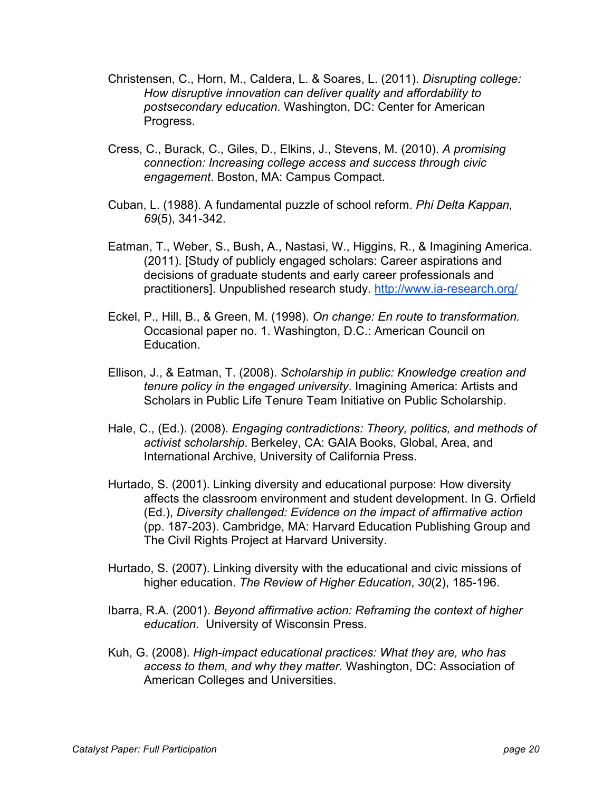- Christensen, C., Horn, M., Caldera, L. & Soares, L. (2011). *Disrupting college: How disruptive innovation can deliver quality and affordability to postsecondary education*. Washington, DC: Center for American Progress.
- Cress, C., Burack, C., Giles, D., Elkins, J., Stevens, M. (2010). *A promising connection: Increasing college access and success through civic engagement*. Boston, MA: Campus Compact.
- Cuban, L. (1988). A fundamental puzzle of school reform. *Phi Delta Kappan, 69*(5), 341-342.
- Eatman, T., Weber, S., Bush, A., Nastasi, W., Higgins, R., & Imagining America. (2011). [Study of publicly engaged scholars: Career aspirations and decisions of graduate students and early career professionals and practitioners]. Unpublished research study. http://www.ia-research.org/
- Eckel, P., Hill, B., & Green, M. (1998). *On change: En route to transformation.*  Occasional paper no. 1. Washington, D.C.: American Council on Education.
- Ellison, J., & Eatman, T. (2008). *Scholarship in public: Knowledge creation and tenure policy in the engaged university*. Imagining America: Artists and Scholars in Public Life Tenure Team Initiative on Public Scholarship.
- Hale, C., (Ed.). (2008). *Engaging contradictions: Theory, politics, and methods of activist scholarship*. Berkeley, CA: GAIA Books, Global, Area, and International Archive, University of California Press.
- Hurtado, S. (2001). Linking diversity and educational purpose: How diversity affects the classroom environment and student development. In G. Orfield (Ed.), *Diversity challenged: Evidence on the impact of affirmative action*  (pp. 187-203). Cambridge, MA: Harvard Education Publishing Group and The Civil Rights Project at Harvard University.
- Hurtado, S. (2007). Linking diversity with the educational and civic missions of higher education. *The Review of Higher Education*, *30*(2), 185-196.
- Ibarra, R.A. (2001). *Beyond affirmative action: Reframing the context of higher education.* University of Wisconsin Press.
- Kuh, G. (2008). *High-impact educational practices: What they are, who has access to them, and why they matter.* Washington, DC: Association of American Colleges and Universities.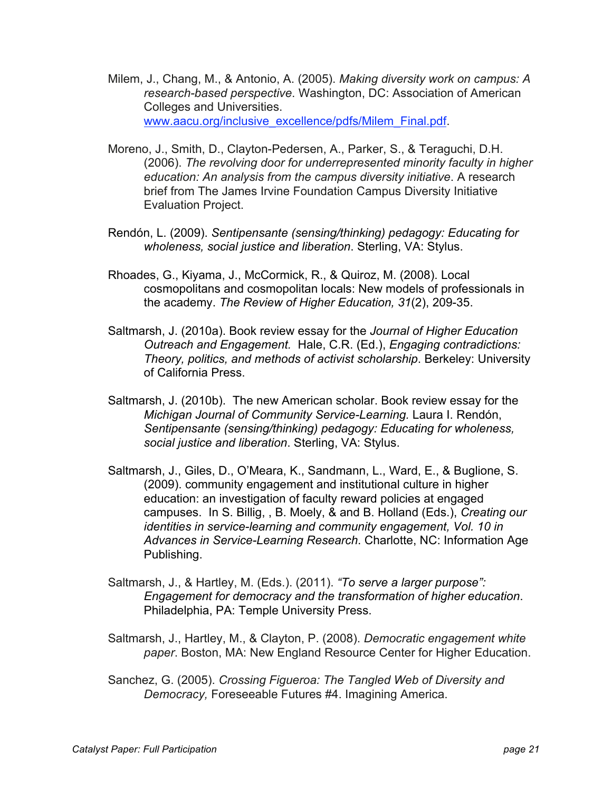- Milem, J., Chang, M., & Antonio, A. (2005). *Making diversity work on campus: A research-based perspective*. Washington, DC: Association of American Colleges and Universities. www.aacu.org/inclusive\_excellence/pdfs/Milem\_Final.pdf.
- Moreno, J., Smith, D., Clayton-Pedersen, A., Parker, S., & Teraguchi, D.H. (2006). *The revolving door for underrepresented minority faculty in higher education: An analysis from the campus diversity initiative*. A research brief from The James Irvine Foundation Campus Diversity Initiative Evaluation Project.
- Rendón, L. (2009). *Sentipensante (sensing/thinking) pedagogy: Educating for wholeness, social justice and liberation*. Sterling, VA: Stylus.
- Rhoades, G., Kiyama, J., McCormick, R., & Quiroz, M. (2008). Local cosmopolitans and cosmopolitan locals: New models of professionals in the academy. *The Review of Higher Education, 31*(2), 209-35.
- Saltmarsh, J. (2010a). Book review essay for the *Journal of Higher Education Outreach and Engagement.* Hale, C.R. (Ed.), *Engaging contradictions: Theory, politics, and methods of activist scholarship*. Berkeley: University of California Press.
- Saltmarsh, J. (2010b). The new American scholar. Book review essay for the *Michigan Journal of Community Service-Learning.* Laura I. Rendón, *Sentipensante (sensing/thinking) pedagogy: Educating for wholeness, social justice and liberation*. Sterling, VA: Stylus.
- Saltmarsh, J., Giles, D., O'Meara, K., Sandmann, L., Ward, E., & Buglione, S. (2009). community engagement and institutional culture in higher education: an investigation of faculty reward policies at engaged campuses. In S. Billig, , B. Moely, & and B. Holland (Eds.), *Creating our identities in service-learning and community engagement, Vol. 10 in Advances in Service-Learning Research*. Charlotte, NC: Information Age Publishing.
- Saltmarsh, J., & Hartley, M. (Eds.). (2011). *"To serve a larger purpose": Engagement for democracy and the transformation of higher education*. Philadelphia, PA: Temple University Press.
- Saltmarsh, J., Hartley, M., & Clayton, P. (2008). *Democratic engagement white paper*. Boston, MA: New England Resource Center for Higher Education.
- Sanchez, G. (2005). *Crossing Figueroa: The Tangled Web of Diversity and Democracy,* Foreseeable Futures #4. Imagining America.